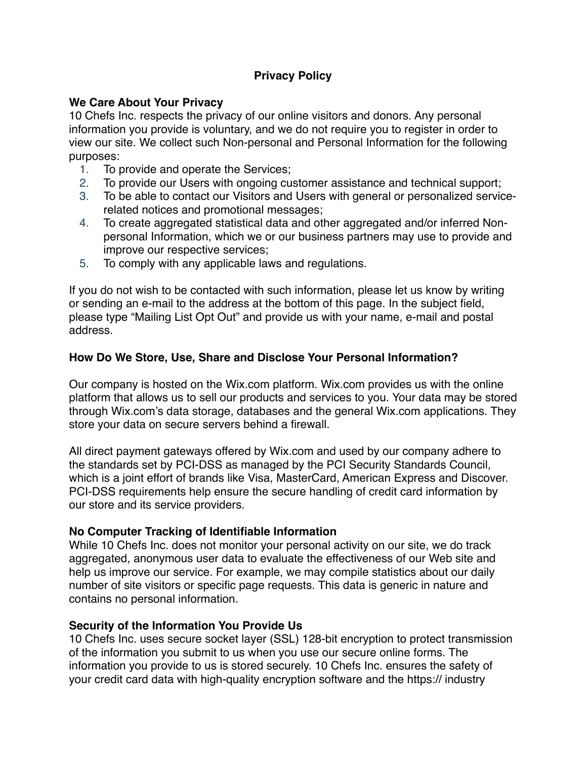# **Privacy Policy**

## **We Care About Your Privacy**

10 Chefs Inc. respects the privacy of our online visitors and donors. Any personal information you provide is voluntary, and we do not require you to register in order to view our site. We collect such Non-personal and Personal Information for the following purposes:

- 1. To provide and operate the Services;
- 2. To provide our Users with ongoing customer assistance and technical support;
- 3. To be able to contact our Visitors and Users with general or personalized servicerelated notices and promotional messages;
- 4. To create aggregated statistical data and other aggregated and/or inferred Nonpersonal Information, which we or our business partners may use to provide and improve our respective services;
- 5. To comply with any applicable laws and regulations.

If you do not wish to be contacted with such information, please let us know by writing or sending an e-mail to the address at the bottom of this page. In the subject field, please type "Mailing List Opt Out" and provide us with your name, e-mail and postal address.

## **How Do We Store, Use, Share and Disclose Your Personal Information?**

Our company is hosted on the Wix.com platform. Wix.com provides us with the online platform that allows us to sell our products and services to you. Your data may be stored through Wix.com's data storage, databases and the general Wix.com applications. They store your data on secure servers behind a firewall.

All direct payment gateways offered by Wix.com and used by our company adhere to the standards set by PCI-DSS as managed by the PCI Security Standards Council, which is a joint effort of brands like Visa, MasterCard, American Express and Discover. PCI-DSS requirements help ensure the secure handling of credit card information by our store and its service providers.

## **No Computer Tracking of Identifiable Information**

While 10 Chefs Inc. does not monitor your personal activity on our site, we do track aggregated, anonymous user data to evaluate the effectiveness of our Web site and help us improve our service. For example, we may compile statistics about our daily number of site visitors or specific page requests. This data is generic in nature and contains no personal information.

## **Security of the Information You Provide Us**

10 Chefs Inc. uses secure socket layer (SSL) 128-bit encryption to protect transmission of the information you submit to us when you use our secure online forms. The information you provide to us is stored securely. 10 Chefs Inc. ensures the safety of your credit card data with high-quality encryption software and the https:// industry